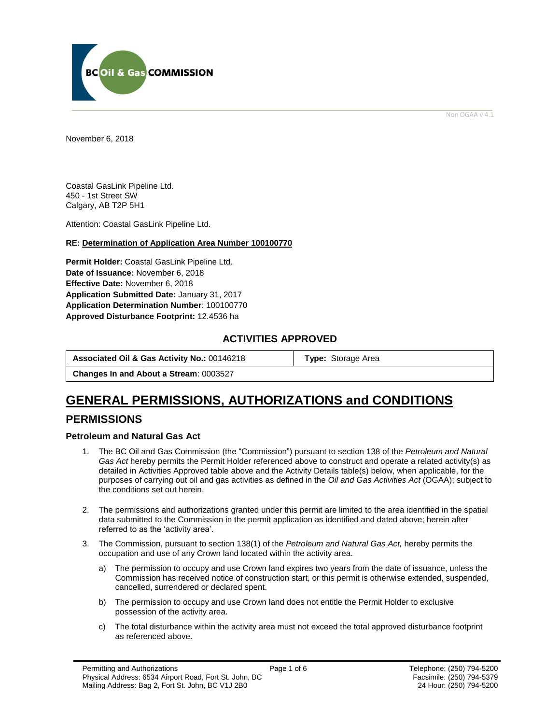

Non OGAA v 4.1

<span id="page-0-0"></span>November 6, 2018

Coastal GasLink Pipeline Ltd. 450 - 1st Street SW Calgary, AB T2P 5H1

Attention: Coastal GasLink Pipeline Ltd.

### **RE: Determination of Application Area Number 100100770**

**Permit Holder:** Coastal GasLink Pipeline Ltd. **Date of Issuance:** November 6, 2018 **Effective Date:** November 6, 2018 **Application Submitted Date:** January 31, 2017 **Application Determination Number**: 100100770 **[Approved Disturbance Footprint:](#page-0-0)** 12.4536 ha

### **ACTIVITIES APPROVED**

| Associated Oil & Gas Activity No.: 00146218   | <b>Type:</b> Storage Area |
|-----------------------------------------------|---------------------------|
| <b>Changes In and About a Stream: 0003527</b> |                           |

## **GENERAL [PERMISSIONS,](#page-0-0) AUTHORIZATIONS and CONDITIONS**

### **PERMISSIONS**

### **Petroleum and Natural Gas Act**

- 1. The BC Oil and Gas Commission (the "Commission") pursuant to section 138 of the *Petroleum and Natural Gas Act* hereby permits the Permit Holder referenced above to construct and operate a related activity(s) as detailed in Activities Approved table above and the Activity Details table(s) below, when applicable, for the purposes of carrying out oil and gas activities as defined in the *Oil and Gas Activities Act* (OGAA); subject to the conditions set out herein.
- 2. The [permissions](#page-0-0) and authorizations granted under this permit are limited to the area identified in the spatial data submitted to the Commission in the permit application as identified and dated above; herein after referred to as the 'activity area'.
- 3. The Commission, pursuant to section 138(1) of the *Petroleum and Natural Gas Act,* hereby permits the occupation and use of any Crown land located within the activity area.
	- a) The permission to occupy and use Crown land expires two years from the date of issuance, unless the Commission has received notice of construction start, or this permit is otherwise extended, suspended, cancelled, surrendered or declared spent.
	- b) The permission to occupy and use Crown land does not entitle the Permit Holder to exclusive possession of the activity area.
	- c) The total disturbance within the activity area must not exceed the total approved disturbance footprint as referenced above.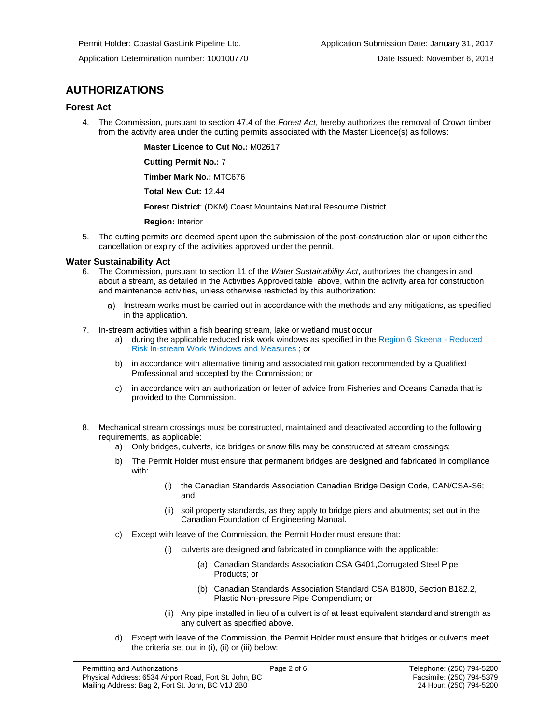## **AUTHORIZATIONS**

### **Forest Act**

4. The Commission, pursuant to section 47.4 of the *Forest Act*, hereby authorizes the removal of Crown timber from the activity area under the cutting permits associated with the Master Licence(s) as follows:

**Master Licence to Cut No.:** M02617

**Cutting Permit No.:** 7

**Timber Mark No.:** MTC676

**Total New Cut:** 12.44

**[Forest District](https://ams-crd.bcogc.ca/crd/)**: (DKM) Coast Mountains Natural Resource District

**Region:** Interior

5. The cutting permits are deemed spent upon the submission of the post-construction plan or upon either the cancellation or expiry of the activities approved under the permit.

### **Water Sustainability Act**

- 6. The Commission, pursuant to section 11 of the *Water Sustainability Act*, authorizes the changes in and about a stream, as detailed in the Activities Approved table above, within the activity area for construction and maintenance activities, unless otherwise restricted by this authorization:
	- Instream works must be carried out in accordance with the methods and any mitigations, as specified a) in the application.
- 7. In-stream activities within a fish bearing stream, lake or wetland must occur
	- a) during the applicable reduced risk work windows as specified in the Region 6 Skeena Reduced Risk In-stream Work Windows and Measures ; or
	- b) in accordance with alternative timing and associated mitigation recommended by a Qualified Professional and accepted by the Commission; or
	- c) in accordance with an authorization or letter of advice from Fisheries and Oceans Canada that is provided to the Commission.
- 8. Mechanical stream crossings must be constructed, maintained and deactivated according to the following requirements, as applicable:
	- a) Only bridges, culverts, ice bridges or snow fills may be constructed at stream crossings;
	- b) The Permit Holder must ensure that permanent bridges are designed and fabricated in compliance with:
		- (i) the Canadian Standards Association Canadian Bridge Design Code, CAN/CSA-S6; and
		- (ii) soil property standards, as they apply to bridge piers and abutments; set out in the Canadian Foundation of Engineering Manual.
	- c) Except with leave of the Commission, the Permit Holder must ensure that:
		- (i) culverts are designed and fabricated in compliance with the applicable:
			- (a) Canadian Standards Association CSA G401,Corrugated Steel Pipe Products; or
			- (b) Canadian Standards Association Standard CSA B1800, Section B182.2, Plastic Non-pressure Pipe Compendium; or
		- (ii) Any pipe installed in lieu of a culvert is of at least equivalent standard and strength as any culvert as specified above.
	- d) Except with leave of the Commission, the Permit Holder must ensure that bridges or culverts meet the criteria set out in (i), (ii) or (iii) below: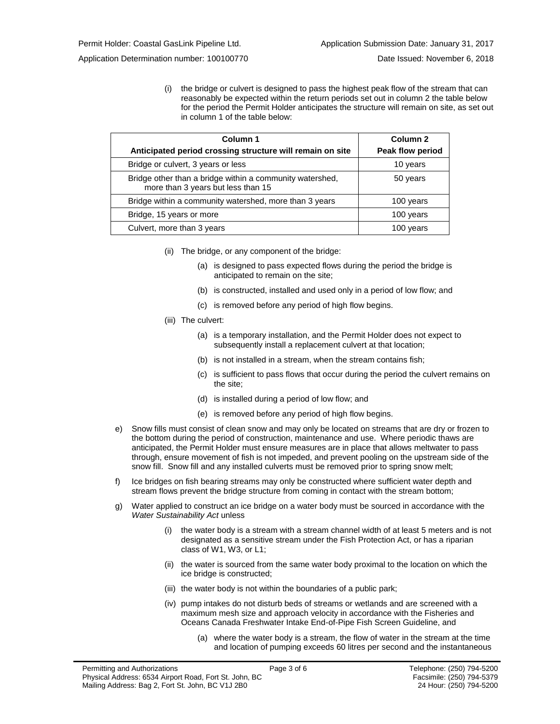(i) the bridge or culvert is designed to pass the highest peak flow of the stream that can reasonably be expected within the return periods set out in column 2 the table below for the period the Permit Holder anticipates the structure will remain on site, as set out in column 1 of the table below:

| Column 1<br>Anticipated period crossing structure will remain on site                          | Column <sub>2</sub><br>Peak flow period |
|------------------------------------------------------------------------------------------------|-----------------------------------------|
| Bridge or culvert, 3 years or less                                                             | 10 years                                |
| Bridge other than a bridge within a community watershed,<br>more than 3 years but less than 15 | 50 years                                |
| Bridge within a community watershed, more than 3 years                                         | 100 years                               |
| Bridge, 15 years or more                                                                       | 100 years                               |
| Culvert, more than 3 years                                                                     | 100 years                               |

- (ii) The bridge, or any component of the bridge:
	- (a) is designed to pass expected flows during the period the bridge is anticipated to remain on the site;
	- (b) is constructed, installed and used only in a period of low flow; and
	- (c) is removed before any period of high flow begins.
- (iii) The culvert:
	- (a) is a temporary installation, and the Permit Holder does not expect to subsequently install a replacement culvert at that location;
	- (b) is not installed in a stream, when the stream contains fish;
	- (c) is sufficient to pass flows that occur during the period the culvert remains on the site;
	- (d) is installed during a period of low flow; and
	- (e) is removed before any period of high flow begins.
- e) Snow fills must consist of clean snow and may only be located on streams that are dry or frozen to the bottom during the period of construction, maintenance and use. Where periodic thaws are anticipated, the Permit Holder must ensure measures are in place that allows meltwater to pass through, ensure movement of fish is not impeded, and prevent pooling on the upstream side of the snow fill. Snow fill and any installed culverts must be removed prior to spring snow melt;
- f) Ice bridges on fish bearing streams may only be constructed where sufficient water depth and stream flows prevent the bridge structure from coming in contact with the stream bottom;
- g) Water applied to construct an ice bridge on a water body must be sourced in accordance with the *Water Sustainability Act* unless
	- (i) the water body is a stream with a stream channel width of at least 5 meters and is not designated as a sensitive stream under the Fish Protection Act, or has a riparian class of W1, W3, or L1;
	- (ii) the water is sourced from the same water body proximal to the location on which the ice bridge is constructed;
	- (iii) the water body is not within the boundaries of a public park;
	- (iv) pump intakes do not disturb beds of streams or wetlands and are screened with a maximum mesh size and approach velocity in accordance with the Fisheries and Oceans Canada Freshwater Intake End-of-Pipe Fish Screen Guideline, and
		- (a) where the water body is a stream, the flow of water in the stream at the time and location of pumping exceeds 60 litres per second and the instantaneous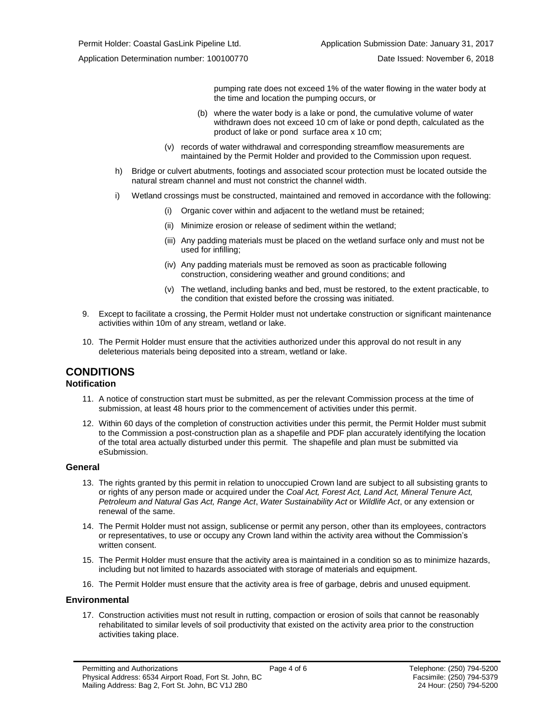pumping rate does not exceed 1% of the water flowing in the water body at the time and location the pumping occurs, or

- (b) where the water body is a lake or pond, the cumulative volume of water withdrawn does not exceed 10 cm of lake or pond depth, calculated as the product of lake or pond surface area x 10 cm;
- (v) records of water withdrawal and corresponding streamflow measurements are maintained by the Permit Holder and provided to the Commission upon request.
- h) Bridge or culvert abutments, footings and associated scour protection must be located outside the natural stream channel and must not constrict the channel width.
- i) Wetland crossings must be constructed, maintained and removed in accordance with the following:
	- (i) Organic cover within and adjacent to the wetland must be retained;
	- (ii) Minimize erosion or release of sediment within the wetland;
	- (iii) Any padding materials must be placed on the wetland surface only and must not be used for infilling;
	- (iv) Any padding materials must be removed as soon as practicable following construction, considering weather and ground conditions; and
	- (v) The wetland, including banks and bed, must be restored, to the extent practicable, to the condition that existed before the crossing was initiated.
- 9. Except to facilitate a crossing, the Permit Holder must not undertake construction or significant maintenance activities within 10m of any stream, wetland or lake.
- 10. The Permit Holder must ensure that the activities authorized under this approval do not result in any deleterious materials being deposited into a stream, wetland or lake.

### **CONDITIONS**

### **Notification**

- 11. A notice of construction start must be submitted, as per the relevant Commission process at the time of submission, at least 48 hours prior to the commencement of activities under this permit.
- 12. Within 60 days of the completion of construction activities under this permit, the Permit Holder must submit to the Commission a post-construction plan as a shapefile and PDF plan accurately identifying the location of the total area actually disturbed under this permit. The shapefile and plan must be submitted via eSubmission.

### **General**

- 13. The rights granted by this permit in relation to unoccupied Crown land are subject to all subsisting grants to or rights of any person made or acquired under the *Coal Act, Forest Act, Land Act, Mineral Tenure Act, Petroleum and Natural Gas Act, Range Act*, *Water Sustainability Act* or *Wildlife Act*, or any extension or renewal of the same.
- 14. The Permit Holder must not assign, sublicense or permit any person, other than its employees, contractors or representatives, to use or occupy any Crown land within the activity area without the Commission's written consent.
- 15. The Permit Holder must ensure that the activity area is maintained in a condition so as to minimize hazards, including but not limited to hazards associated with storage of materials and equipment.
- 16. The Permit Holder must ensure that the activity area is free of garbage, debris and unused equipment.

#### **Environmental**

17. Construction activities must not result in rutting, compaction or erosion of soils that cannot be reasonably rehabilitated to similar levels of soil productivity that existed on the activity area prior to the construction activities taking place.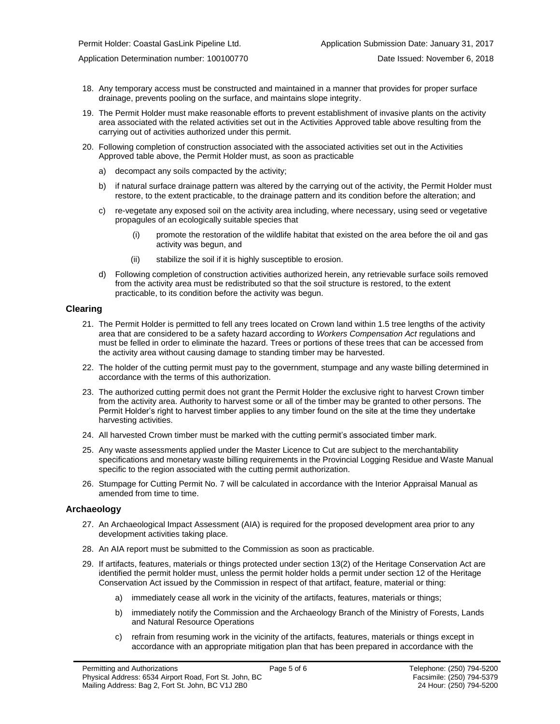- 18. Any temporary access must be constructed and maintained in a manner that provides for proper surface
- 19. The Permit Holder must make reasonable efforts to prevent establishment of invasive plants on the activity area associated with the related activities set out in the Activities Approved table above resulting from the carrying out of activities authorized under this permit.
- 20. Following completion of construction associated with the associated activities set out in the Activities Approved table above, the Permit Holder must, as soon as practicable
	- a) decompact any soils compacted by the activity;
	- b) if natural surface drainage pattern was altered by the carrying out of the activity, the Permit Holder must restore, to the extent practicable, to the drainage pattern and its condition before the alteration; and
	- c) re-vegetate any exposed soil on the activity area including, where necessary, using seed or vegetative propagules of an ecologically suitable species that
		- (i) promote the restoration of the wildlife habitat that existed on the area before the oil and gas activity was begun, and
		- (ii) stabilize the soil if it is highly susceptible to erosion.

drainage, prevents pooling on the surface, and maintains slope integrity.

d) Following completion of construction activities authorized herein, any retrievable surface soils removed from the activity area must be redistributed so that the soil structure is restored, to the extent practicable, to its condition before the activity was begun.

### **Clearing**

- 21. The Permit Holder is permitted to fell any trees located on Crown land within 1.5 tree lengths of the activity area that are considered to be a safety hazard according to *Workers Compensation Act* regulations and must be felled in order to eliminate the hazard. Trees or portions of these trees that can be accessed from the activity area without causing damage to standing timber may be harvested.
- 22. The holder of the cutting permit must pay to the government, stumpage and any waste billing determined in accordance with the terms of this authorization.
- 23. The authorized cutting permit does not grant the Permit Holder the exclusive right to harvest Crown timber from the activity area. Authority to harvest some or all of the timber may be granted to other persons. The Permit Holder's right to harvest timber applies to any timber found on the site at the time they undertake harvesting activities.
- 24. All harvested Crown timber must be marked with the cutting permit's associated timber mark.
- 25. Any waste assessments applied under the Master Licence to Cut are subject to the merchantability specifications and monetary waste billing requirements in the Provincial Logging Residue and Waste Manual specific to the region associated with the cutting permi[t authorization.](#page-0-0)
- 26. Stumpage for Cutting Permit No. 7 will be calculated in accordance with the Interior Appraisal Manual as amended from time to time.

### **Archaeology**

- 27. An Archaeological Impact Assessment (AIA) is required for the proposed development area prior to any development activities taking place.
- 28. An AIA report must be submitted to the Commission as soon as practicable.
- 29. If artifacts, features, materials or things protected under section 13(2) of the Heritage Conservation Act are identified the permit holder must, unless the permit holder holds a permit under section 12 of the Heritage Conservation Act issued by the Commission in respect of that artifact, feature, material or thing:
	- a) immediately cease all work in the vicinity of the artifacts, features, materials or things;
	- b) immediately notify the Commission and the Archaeology Branch of the Ministry of Forests, Lands and Natural Resource Operations
	- c) refrain from resuming work in the vicinity of the artifacts, features, materials or things except in accordance with an appropriate mitigation plan that has been prepared in accordance with the